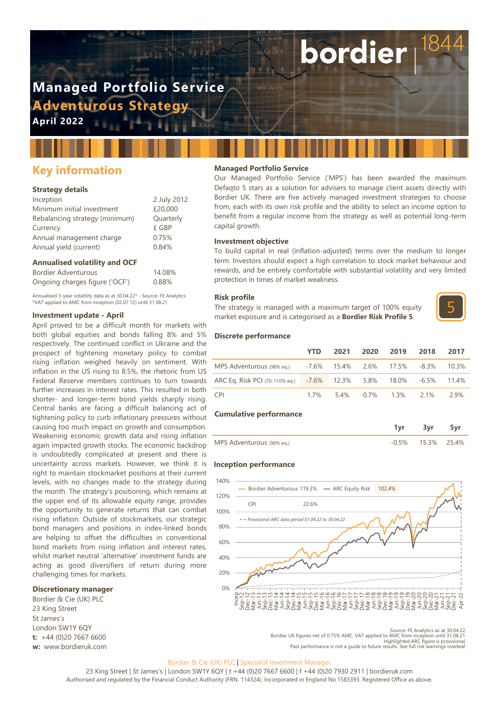# **Managed Portfolio Service Adventurous Strategy April 2022**

# **Key information**

# **Strategy details**

| Inception                      | 2 July 2012 |
|--------------------------------|-------------|
| Minimum initial investment     | £20,000     |
| Rebalancing strategy (minimum) | Quarterly   |
| Currency                       | £ GBP       |
| Annual management charge       | 0.75%       |
| Annual yield (current)         | 0.84%       |
|                                |             |

### **Annualised volatility and OCF**

| Bordier Adventurous            | 14.08% |
|--------------------------------|--------|
| Ongoing charges figure ('OCF') | 0.88%  |

Annualised 3-year volatility data as at 30.04.22\* - Source: FE Analytics \*VAT applied to AMC from inception (02.07.12) until 31.08.21

### **Investment update - April**

April proved to be a difficult month for markets with both global equities and bonds falling 8% and 5% respectively. The continued conflict in Ukraine and the prospect of tightening monetary policy to combat rising inflation weighed heavily on sentiment. With inflation in the US rising to 8.5%, the rhetoric from US Federal Reserve members continues to turn towards further increases in interest rates. This resulted in both shorter- and longer-term bond yields sharply rising. Central banks are facing a difficult balancing act of tightening policy to curb inflationary pressures without causing too much impact on growth and consumption. Weakening economic growth data and rising inflation again impacted growth stocks. The economic backdrop is undoubtedly complicated at present and there is uncertainty across markets. However, we think it is right to maintain stockmarket positions at their current levels, with no changes made to the strategy during the month. The strategy's positioning, which remains at the upper end of its allowable equity range, provides the opportunity to generate returns that can combat rising inflation. Outside of stockmarkets, our strategic bond managers and positions in index-linked bonds are helping to offset the difficulties in conventional bond markets from rising inflation and interest rates, whilst market neutral 'alternative' investment funds are acting as good diversifiers of return during more challenging times for markets.

#### **Discretionary manager**

Bordier & Cie (UK) PLC 23 King Street St James's London SW1Y 6QY **t:** +44 (0)20 7667 6600 **w:** www.bordieruk.com

# **Managed Portfolio Service**

Our Managed Portfolio Service ('MPS') has been awarded the maximum Defaqto 5 stars as a solution for advisers to manage client assets directly with Bordier UK. There are five actively managed investment strategies to choose from, each with its own risk profile and the ability to select an income option to benefit from a regular income from the strategy as well as potential long-term capital growth.

bordier

#### **Investment objective**

To build capital in real (inflation-adjusted) terms over the medium to longer term. Investors should expect a high correlation to stock market behaviour and rewards, and be entirely comfortable with substantial volatility and very limited protection in times of market weakness.

# **Risk profile**

The strategy is managed with a maximum target of 100% equity market exposure and is categorised as a **Bordier Risk Profile 5**.



#### **Discrete performance**

|                                                                     | <b>YTD</b> |  | 2021 2020 2019           | 2018 | -2017 |
|---------------------------------------------------------------------|------------|--|--------------------------|------|-------|
| MPS Adventurous (98% eg.) $-7.6\%$ 15.4% 2.6% 17.5% -8.3% 10.3%     |            |  |                          |      |       |
| ARC Eq. Risk PCI (70-110% eq.) - 7.6% 12.3% 5.8% 18.0% - 6.5% 11.4% |            |  |                          |      |       |
| CPI <sup>-</sup>                                                    |            |  | 1.7% 5.4% 0.7% 1.3% 2.1% |      | 29%   |

#### **Cumulative performance**

|                           | 3vr                  |  |
|---------------------------|----------------------|--|
| MPS Adventurous (98% eq.) | $-0.5\%$ 15.3% 25.4% |  |

#### **Inception performance**



Source: FE Analytics as at 30.04.22. Bordier UK figures net of 0.75% AMC. VAT applied to AMC from inception until 31.08.21. Highlighted ARC figure is provisional. Past performance is not a guide to future results. See full risk warnings overleaf.

#### Bordier & Cie (UK) PLC | Specialist Investment Manager

23 King Street | St James's | London SW1Y 6QY | t +44 (0)20 7667 6600 | f +44 (0)20 7930 2911 | bordieruk.com Authorised and regulated by the Financial Conduct Authority (FRN. 114324). Incorporated in England No.1583393. Registered Office as above.